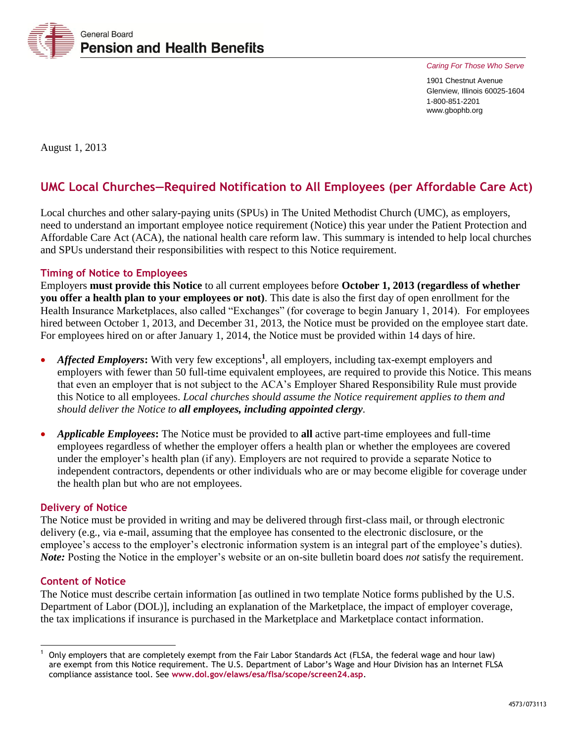

*Caring For Those Who Serve* 

1901 Chestnut Avenue Glenview, Illinois 60025-1604 1-800-851-2201 www.gbophb.org

August 1, 2013

# **UMC Local Churches—Required Notification to All Employees (per Affordable Care Act)**

Local churches and other salary-paying units (SPUs) in The United Methodist Church (UMC), as employers, need to understand an important employee notice requirement (Notice) this year under the Patient Protection and Affordable Care Act (ACA), the national health care reform law. This summary is intended to help local churches and SPUs understand their responsibilities with respect to this Notice requirement.

# **Timing of Notice to Employees**

Employers **must provide this Notice** to all current employees before **October 1, 2013 (regardless of whether you offer a health plan to your employees or not)**. This date is also the first day of open enrollment for the Health Insurance Marketplaces, also called "Exchanges" (for coverage to begin January 1, 2014). For employees hired between October 1, 2013, and December 31, 2013, the Notice must be provided on the employee start date. For employees hired on or after January 1, 2014, the Notice must be provided within 14 days of hire.

- *Affected Employers***:** With very few exceptions<sup>1</sup>, all employers, including tax-exempt employers and employers with fewer than 50 full-time equivalent employees, are required to provide this Notice. This means that even an employer that is not subject to the ACA's Employer Shared Responsibility Rule must provide this Notice to all employees. *Local churches should assume the Notice requirement applies to them and should deliver the Notice to all employees, including appointed clergy.*
- *Applicable Employees***:** The Notice must be provided to **all** active part-time employees and full-time employees regardless of whether the employer offers a health plan or whether the employees are covered under the employer's health plan (if any). Employers are not required to provide a separate Notice to independent contractors, dependents or other individuals who are or may become eligible for coverage under the health plan but who are not employees.

## **Delivery of Notice**

The Notice must be provided in writing and may be delivered through first-class mail, or through electronic delivery (e.g., via e-mail, assuming that the employee has consented to the electronic disclosure, or the employee's access to the employer's electronic information system is an integral part of the employee's duties). *Note:* Posting the Notice in the employer's website or an on-site bulletin board does *not* satisfy the requirement.

## **Content of Notice**

ı

The Notice must describe certain information [as outlined in two template Notice forms published by the U.S. Department of Labor (DOL)], including an explanation of the Marketplace, the impact of employer coverage, the tax implications if insurance is purchased in the Marketplace and Marketplace contact information.

<sup>1</sup> Only employers that are completely exempt from the Fair Labor Standards Act (FLSA, the federal wage and hour law) are exempt from this Notice requirement. The U.S. Department of Labor's Wage and Hour Division has an Internet FLSA compliance assistance tool. See **[www.dol.gov/elaws/esa/flsa/scope/screen24.asp](http://www.dol.gov/elaws/esa/flsa/scope/screen24.asp)**.